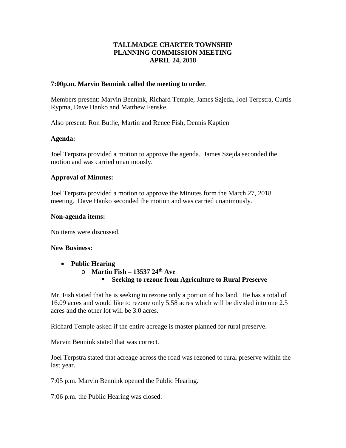# **TALLMADGE CHARTER TOWNSHIP PLANNING COMMISSION MEETING APRIL 24, 2018**

#### **7:00p.m. Marvin Bennink called the meeting to order**.

Members present: Marvin Bennink, Richard Temple, James Szjeda, Joel Terpstra, Curtis Rypma, Dave Hanko and Matthew Fenske.

Also present: Ron Butlje, Martin and Renee Fish, Dennis Kaptien

### **Agenda:**

Joel Terpstra provided a motion to approve the agenda. James Szejda seconded the motion and was carried unanimously.

### **Approval of Minutes:**

Joel Terpstra provided a motion to approve the Minutes form the March 27, 2018 meeting. Dave Hanko seconded the motion and was carried unanimously.

#### **Non-agenda items:**

No items were discussed.

#### **New Business:**

- **Public Hearing**
	- o **Martin Fish – 13537 24th Ave Seeking to rezone from Agriculture to Rural Preserve**

Mr. Fish stated that he is seeking to rezone only a portion of his land. He has a total of 16.09 acres and would like to rezone only 5.58 acres which will be divided into one 2.5 acres and the other lot will be 3.0 acres.

Richard Temple asked if the entire acreage is master planned for rural preserve.

Marvin Bennink stated that was correct.

Joel Terpstra stated that acreage across the road was rezoned to rural preserve within the last year.

7:05 p.m. Marvin Bennink opened the Public Hearing.

7:06 p.m. the Public Hearing was closed.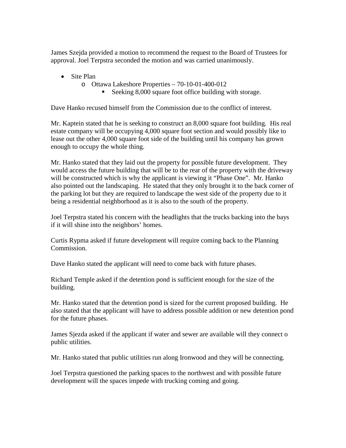James Szejda provided a motion to recommend the request to the Board of Trustees for approval. Joel Terpstra seconded the motion and was carried unanimously.

- Site Plan
	- o Ottawa Lakeshore Properties 70-10-01-400-012
		- Seeking 8,000 square foot office building with storage.

Dave Hanko recused himself from the Commission due to the conflict of interest.

Mr. Kaptein stated that he is seeking to construct an 8,000 square foot building. His real estate company will be occupying 4,000 square foot section and would possibly like to lease out the other 4,000 square foot side of the building until his company has grown enough to occupy the whole thing.

Mr. Hanko stated that they laid out the property for possible future development. They would access the future building that will be to the rear of the property with the driveway will be constructed which is why the applicant is viewing it "Phase One". Mr. Hanko also pointed out the landscaping. He stated that they only brought it to the back corner of the parking lot but they are required to landscape the west side of the property due to it being a residential neighborhood as it is also to the south of the property.

Joel Terpstra stated his concern with the headlights that the trucks backing into the bays if it will shine into the neighbors' homes.

Curtis Rypma asked if future development will require coming back to the Planning Commission.

Dave Hanko stated the applicant will need to come back with future phases.

Richard Temple asked if the detention pond is sufficient enough for the size of the building.

Mr. Hanko stated that the detention pond is sized for the current proposed building. He also stated that the applicant will have to address possible addition or new detention pond for the future phases.

James Sjezda asked if the applicant if water and sewer are available will they connect o public utilities.

Mr. Hanko stated that public utilities run along Ironwood and they will be connecting.

Joel Terpstra questioned the parking spaces to the northwest and with possible future development will the spaces impede with trucking coming and going.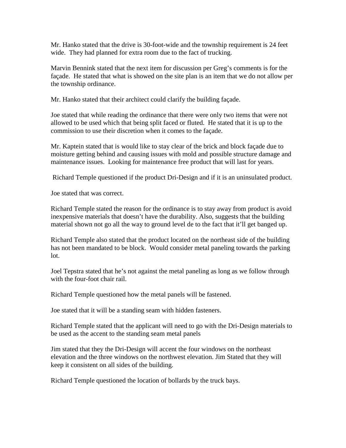Mr. Hanko stated that the drive is 30-foot-wide and the township requirement is 24 feet wide. They had planned for extra room due to the fact of trucking.

Marvin Bennink stated that the next item for discussion per Greg's comments is for the façade. He stated that what is showed on the site plan is an item that we do not allow per the township ordinance.

Mr. Hanko stated that their architect could clarify the building façade.

Joe stated that while reading the ordinance that there were only two items that were not allowed to be used which that being split faced or fluted. He stated that it is up to the commission to use their discretion when it comes to the façade.

Mr. Kaptein stated that is would like to stay clear of the brick and block façade due to moisture getting behind and causing issues with mold and possible structure damage and maintenance issues. Looking for maintenance free product that will last for years.

Richard Temple questioned if the product Dri-Design and if it is an uninsulated product.

Joe stated that was correct.

Richard Temple stated the reason for the ordinance is to stay away from product is avoid inexpensive materials that doesn't have the durability. Also, suggests that the building material shown not go all the way to ground level de to the fact that it'll get banged up.

Richard Temple also stated that the product located on the northeast side of the building has not been mandated to be block. Would consider metal paneling towards the parking lot.

Joel Tepstra stated that he's not against the metal paneling as long as we follow through with the four-foot chair rail.

Richard Temple questioned how the metal panels will be fastened.

Joe stated that it will be a standing seam with hidden fasteners.

Richard Temple stated that the applicant will need to go with the Dri-Design materials to be used as the accent to the standing seam metal panels

Jim stated that they the Dri-Design will accent the four windows on the northeast elevation and the three windows on the northwest elevation. Jim Stated that they will keep it consistent on all sides of the building.

Richard Temple questioned the location of bollards by the truck bays.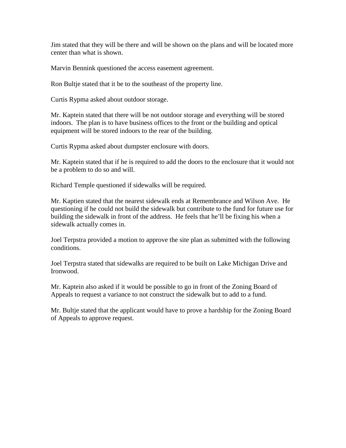Jim stated that they will be there and will be shown on the plans and will be located more center than what is shown.

Marvin Bennink questioned the access easement agreement.

Ron Bultje stated that it be to the southeast of the property line.

Curtis Rypma asked about outdoor storage.

Mr. Kaptein stated that there will be not outdoor storage and everything will be stored indoors. The plan is to have business offices to the front or the building and optical equipment will be stored indoors to the rear of the building.

Curtis Rypma asked about dumpster enclosure with doors.

Mr. Kaptein stated that if he is required to add the doors to the enclosure that it would not be a problem to do so and will.

Richard Temple questioned if sidewalks will be required.

Mr. Kaptien stated that the nearest sidewalk ends at Remembrance and Wilson Ave. He questioning if he could not build the sidewalk but contribute to the fund for future use for building the sidewalk in front of the address. He feels that he'll be fixing his when a sidewalk actually comes in.

Joel Terpstra provided a motion to approve the site plan as submitted with the following conditions.

Joel Terpstra stated that sidewalks are required to be built on Lake Michigan Drive and Ironwood.

Mr. Kaptein also asked if it would be possible to go in front of the Zoning Board of Appeals to request a variance to not construct the sidewalk but to add to a fund.

Mr. Bultje stated that the applicant would have to prove a hardship for the Zoning Board of Appeals to approve request.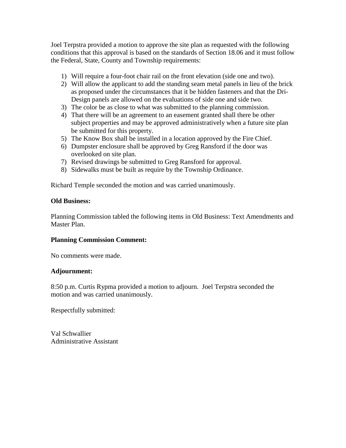Joel Terpstra provided a motion to approve the site plan as requested with the following conditions that this approval is based on the standards of Section 18.06 and it must follow the Federal, State, County and Township requirements:

- 1) Will require a four-foot chair rail on the front elevation (side one and two).
- 2) Will allow the applicant to add the standing seam metal panels in lieu of the brick as proposed under the circumstances that it be hidden fasteners and that the Dri-Design panels are allowed on the evaluations of side one and side two.
- 3) The color be as close to what was submitted to the planning commission.
- 4) That there will be an agreement to an easement granted shall there be other subject properties and may be approved administratively when a future site plan be submitted for this property.
- 5) The Know Box shall be installed in a location approved by the Fire Chief.
- 6) Dumpster enclosure shall be approved by Greg Ransford if the door was overlooked on site plan.
- 7) Revised drawings be submitted to Greg Ransford for approval.
- 8) Sidewalks must be built as require by the Township Ordinance.

Richard Temple seconded the motion and was carried unanimously.

### **Old Business:**

Planning Commission tabled the following items in Old Business: Text Amendments and Master Plan.

# **Planning Commission Comment:**

No comments were made.

#### **Adjournment:**

8:50 p.m. Curtis Rypma provided a motion to adjourn. Joel Terpstra seconded the motion and was carried unanimously.

Respectfully submitted:

Val Schwallier Administrative Assistant